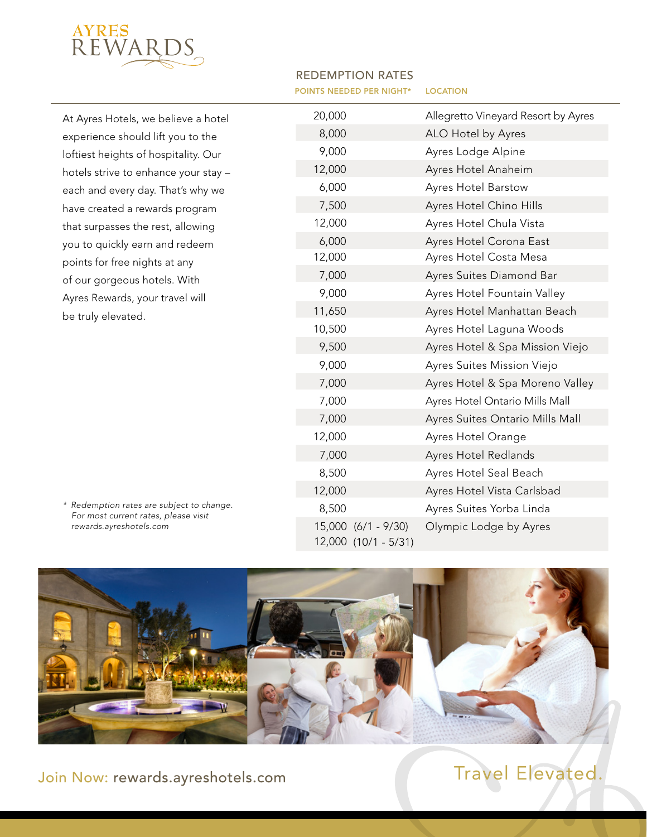

At Ayres Hotels, we believe a hotel experience should lift you to the loftiest heights of hospitality. Our hotels strive to enhance your stay – each and every day. That's why we have created a rewards program that surpasses the rest, allowing you to quickly earn and redeem points for free nights at any of our gorgeous hotels. With Ayres Rewards, your travel will be truly elevated.

*\* Redemption rates are subject to change. For most current rates, please visit rewards.ayreshotels.com*

| <b>REDEMPTION RATES</b>                  |  |
|------------------------------------------|--|
| <b>POINTS NEEDED PER NIGHT* LOCATION</b> |  |

| 20,000 |                                             | Allegretto Vineyard Resort by Ayres |
|--------|---------------------------------------------|-------------------------------------|
| 8,000  |                                             | ALO Hotel by Ayres                  |
| 9,000  |                                             | Ayres Lodge Alpine                  |
| 12,000 |                                             | Ayres Hotel Anaheim                 |
| 6,000  |                                             | Ayres Hotel Barstow                 |
| 7,500  |                                             | Ayres Hotel Chino Hills             |
| 12,000 |                                             | Ayres Hotel Chula Vista             |
| 6,000  |                                             | Ayres Hotel Corona East             |
| 12,000 |                                             | Ayres Hotel Costa Mesa              |
| 7,000  |                                             | Ayres Suites Diamond Bar            |
| 9,000  |                                             | Ayres Hotel Fountain Valley         |
| 11,650 |                                             | Ayres Hotel Manhattan Beach         |
| 10,500 |                                             | Ayres Hotel Laguna Woods            |
| 9,500  |                                             | Ayres Hotel & Spa Mission Viejo     |
| 9,000  |                                             | Ayres Suites Mission Viejo          |
| 7,000  |                                             | Ayres Hotel & Spa Moreno Valley     |
| 7,000  |                                             | Ayres Hotel Ontario Mills Mall      |
| 7,000  |                                             | Ayres Suites Ontario Mills Mall     |
| 12,000 |                                             | Ayres Hotel Orange                  |
| 7,000  |                                             | Ayres Hotel Redlands                |
| 8,500  |                                             | Ayres Hotel Seal Beach              |
| 12,000 |                                             | Ayres Hotel Vista Carlsbad          |
| 8,500  |                                             | Ayres Suites Yorba Linda            |
|        | 15,000 (6/1 - 9/30)<br>12,000 (10/1 - 5/31) | Olympic Lodge by Ayres              |



Join Now: rewards.ayreshotels.com Travel Elevated.